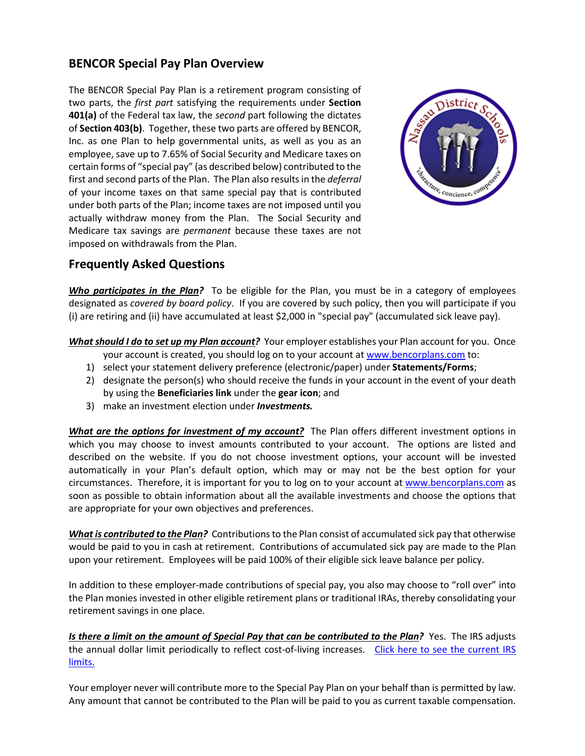## **BENCOR Special Pay Plan Overview**

The BENCOR Special Pay Plan is a retirement program consisting of two parts, the *first part* satisfying the requirements under **Section 401(a)** of the Federal tax law, the *second* part following the dictates of **Section 403(b)**. Together, these two parts are offered by BENCOR, Inc. as one Plan to help governmental units, as well as you as an employee, save up to 7.65% of Social Security and Medicare taxes on certain forms of "special pay" (as described below) contributed to the first and second parts of the Plan. The Plan also results in the *deferral* of your income taxes on that same special pay that is contributed under both parts of the Plan; income taxes are not imposed until you actually withdraw money from the Plan. The Social Security and Medicare tax savings are *permanent* because these taxes are not imposed on withdrawals from the Plan.



## **Frequently Asked Questions**

*Who participates in the Plan?* To be eligible for the Plan, you must be in a category of employees designated as *covered by board policy*. If you are covered by such policy, then you will participate if you (i) are retiring and (ii) have accumulated at least \$2,000 in "special pay" (accumulated sick leave pay).

*What should I do to set up my Plan account?* Your employer establishes your Plan account for you. Once your account is created, you should log on to your account at www.bencorplans.com to:

- 1) select your statement delivery preference (electronic/paper) under **Statements/Forms**;
- 2) designate the person(s) who should receive the funds in your account in the event of your death by using the **Beneficiaries link** under the **gear icon**; and
- 3) make an investment election under *Investments.*

*What are the options for investment of my account?* The Plan offers different investment options in which you may choose to invest amounts contributed to your account. The options are listed and described on the website. If you do not choose investment options, your account will be invested automatically in your Plan's default option, which may or may not be the best option for your circumstances. Therefore, it is important for you to log on to your account at www.bencorplans.com as soon as possible to obtain information about all the available investments and choose the options that are appropriate for your own objectives and preferences.

*What is contributed to the Plan?* Contributions to the Plan consist of accumulated sick pay that otherwise would be paid to you in cash at retirement. Contributions of accumulated sick pay are made to the Plan upon your retirement. Employees will be paid 100% of their eligible sick leave balance per policy.

In addition to these employer-made contributions of special pay, you also may choose to "roll over" into the Plan monies invested in other eligible retirement plans or traditional IRAs, thereby consolidating your retirement savings in one place.

*Is there a limit on the amount of Special Pay that can be contributed to the Plan?* Yes. The IRS adjusts the annual dollar limit periodically to reflect cost-of-living increases. Click here to see the current IRS limits.

Your employer never will contribute more to the Special Pay Plan on your behalf than is permitted by law. Any amount that cannot be contributed to the Plan will be paid to you as current taxable compensation.